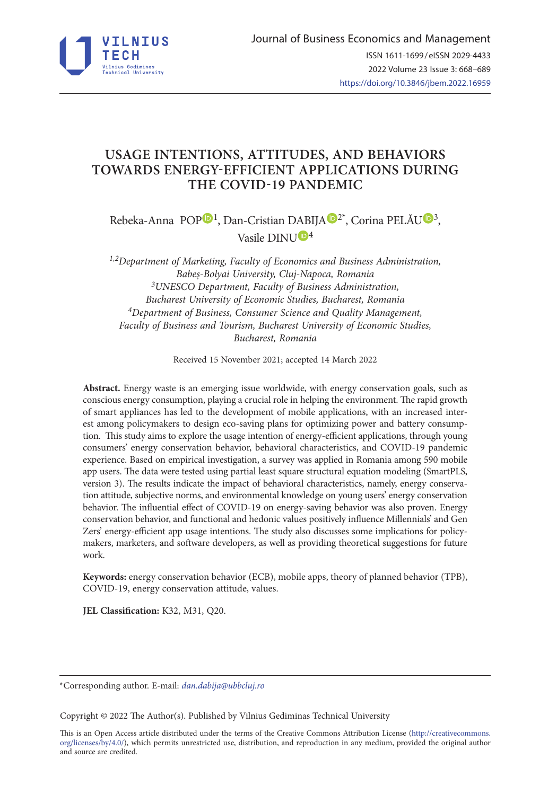

# **USAGE INTENTIONS, ATTITUDES, AND BEHAVIORS TOWARDS ENERGY-EFFICIENT APPLICATIONS DURING THE COVID-19 PANDEMIC**

Rebeka-Anna [P](https://orcid.org/0000-0003-1498-0698)OP<sup>1</sup>, Dan-Cristian DABIJA<sup>D[2](https://orcid.org/0000-0002-8265-175X)\*</sup>, Corina PELĂ[U](https://orcid.org/0000-0002-6139-028X)<sup>D3</sup>, Vasile DIN[U](https://orcid.org/0000-0003-3606-2548)D<sup>4</sup>

*1,2Department of Marketing, Faculty of Economics and Business Administration, Babeș-Bolyai University, Cluj-Napoca, Romania 3UNESCO Department, Faculty of Business Administration, Bucharest University of Economic Studies, Bucharest, Romania 4Department of Business, Consumer Science and Quality Management, Faculty of Business and Tourism, Bucharest University of Economic Studies, Bucharest, Romania*

Received 15 November 2021; accepted 14 March 2022

**Abstract.** Energy waste is an emerging issue worldwide, with energy conservation goals, such as conscious energy consumption, playing a crucial role in helping the environment. The rapid growth of smart appliances has led to the development of mobile applications, with an increased interest among policymakers to design eco-saving plans for optimizing power and battery consumption. This study aims to explore the usage intention of energy-efficient applications, through young consumers' energy conservation behavior, behavioral characteristics, and COVID-19 pandemic experience. Based on empirical investigation, a survey was applied in Romania among 590 mobile app users. The data were tested using partial least square structural equation modeling (SmartPLS, version 3). The results indicate the impact of behavioral characteristics, namely, energy conservation attitude, subjective norms, and environmental knowledge on young users' energy conservation behavior. The influential effect of COVID-19 on energy-saving behavior was also proven. Energy conservation behavior, and functional and hedonic values positively influence Millennials' and Gen Zers' energy-efficient app usage intentions. The study also discusses some implications for policymakers, marketers, and software developers, as well as providing theoretical suggestions for future work.

**Keywords:** energy conservation behavior (ECB), mobile apps, theory of planned behavior (TPB), COVID-19, energy conservation attitude, values.

**JEL Classification:** K32, M31, Q20.

Copyright © 2022 The Author(s). Published by Vilnius Gediminas Technical University

This is an Open Access article distributed under the terms of the Creative Commons Attribution License ([http://creativecommons.](http://creativecommons.org/licenses/by/4.0/) [org/licenses/by/4.0/\)](http://creativecommons.org/licenses/by/4.0/), which permits unrestricted use, distribution, and reproduction in any medium, provided the original author and source are credited.

<sup>\*</sup>Corresponding author. E-mail: *dan.dabija@ubbcluj.ro*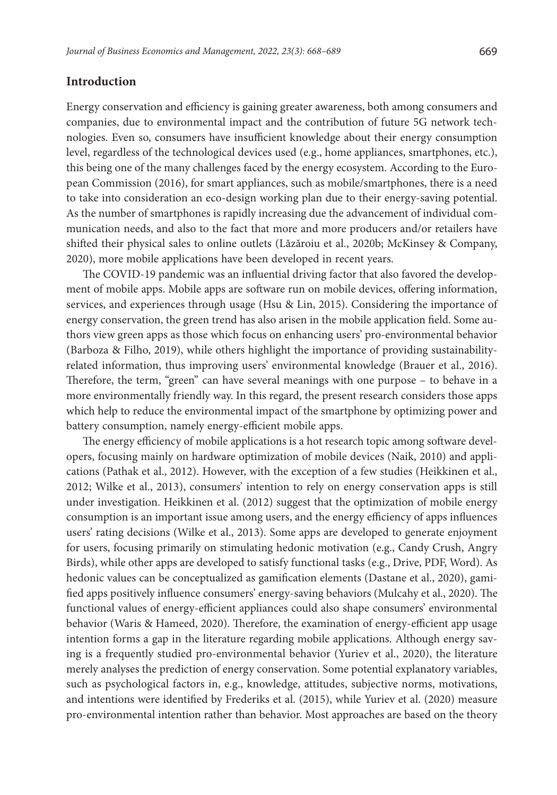### **Introduction**

Energy conservation and efficiency is gaining greater awareness, both among consumers and companies, due to environmental impact and the contribution of future 5G network technologies. Even so, consumers have insufficient knowledge about their energy consumption level, regardless of the technological devices used (e.g., home appliances, smartphones, etc.), this being one of the many challenges faced by the energy ecosystem. According to the European Commission (2016), for smart appliances, such as mobile/smartphones, there is a need to take into consideration an eco-design working plan due to their energy-saving potential. As the number of smartphones is rapidly increasing due the advancement of individual communication needs, and also to the fact that more and more producers and/or retailers have shifted their physical sales to online outlets (Lăzăroiu et al., 2020b; McKinsey & Company, 2020), more mobile applications have been developed in recent years.

The COVID-19 pandemic was an influential driving factor that also favored the development of mobile apps. Mobile apps are software run on mobile devices, offering information, services, and experiences through usage (Hsu & Lin, 2015). Considering the importance of energy conservation, the green trend has also arisen in the mobile application field. Some authors view green apps as those which focus on enhancing users' pro-environmental behavior (Barboza & Filho, 2019), while others highlight the importance of providing sustainabilityrelated information, thus improving users' environmental knowledge (Brauer et al., 2016). Therefore, the term, "green" can have several meanings with one purpose – to behave in a more environmentally friendly way. In this regard, the present research considers those apps which help to reduce the environmental impact of the smartphone by optimizing power and battery consumption, namely energy-efficient mobile apps.

The energy efficiency of mobile applications is a hot research topic among software developers, focusing mainly on hardware optimization of mobile devices (Naik, 2010) and applications (Pathak et al., 2012). However, with the exception of a few studies (Heikkinen et al., 2012; Wilke et al., 2013), consumers' intention to rely on energy conservation apps is still under investigation. Heikkinen et al. (2012) suggest that the optimization of mobile energy consumption is an important issue among users, and the energy efficiency of apps influences users' rating decisions (Wilke et al., 2013). Some apps are developed to generate enjoyment for users, focusing primarily on stimulating hedonic motivation (e.g., Candy Crush, Angry Birds), while other apps are developed to satisfy functional tasks (e.g., Drive, PDF, Word). As hedonic values can be conceptualized as gamification elements (Dastane et al., 2020), gamified apps positively influence consumers' energy-saving behaviors (Mulcahy et al., 2020). The functional values of energy-efficient appliances could also shape consumers' environmental behavior (Waris & Hameed, 2020). Therefore, the examination of energy-efficient app usage intention forms a gap in the literature regarding mobile applications. Although energy saving is a frequently studied pro-environmental behavior (Yuriev et al., 2020), the literature merely analyses the prediction of energy conservation. Some potential explanatory variables, such as psychological factors in, e.g., knowledge, attitudes, subjective norms, motivations, and intentions were identified by Frederiks et al. (2015), while Yuriev et al. (2020) measure pro-environmental intention rather than behavior. Most approaches are based on the theory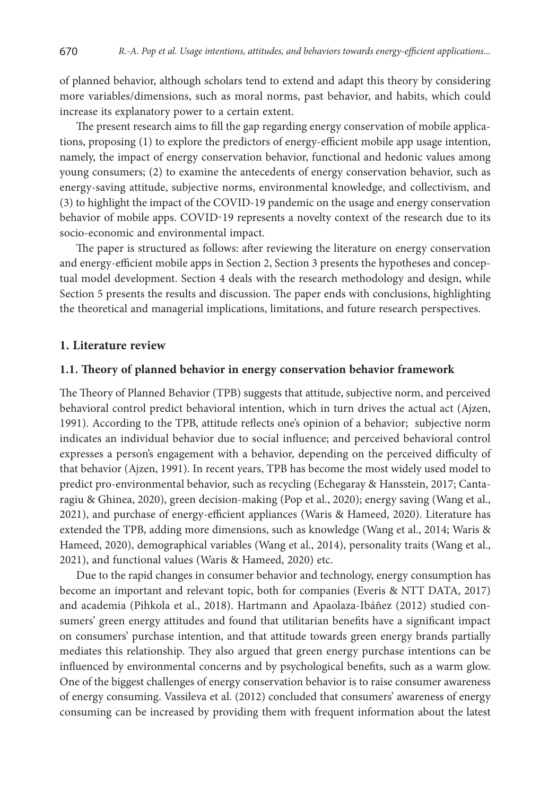of planned behavior, although scholars tend to extend and adapt this theory by considering more variables/dimensions, such as moral norms, past behavior, and habits, which could increase its explanatory power to a certain extent.

The present research aims to fill the gap regarding energy conservation of mobile applications, proposing (1) to explore the predictors of energy-efficient mobile app usage intention, namely, the impact of energy conservation behavior, functional and hedonic values among young consumers; (2) to examine the antecedents of energy conservation behavior, such as energy-saving attitude, subjective norms, environmental knowledge, and collectivism, and (3) to highlight the impact of the COVID-19 pandemic on the usage and energy conservation behavior of mobile apps. COVID-19 represents a novelty context of the research due to its socio-economic and environmental impact.

The paper is structured as follows: after reviewing the literature on energy conservation and energy-efficient mobile apps in Section 2, Section 3 presents the hypotheses and conceptual model development. Section 4 deals with the research methodology and design, while Section 5 presents the results and discussion. The paper ends with conclusions, highlighting the theoretical and managerial implications, limitations, and future research perspectives.

### **1. Literature review**

#### **1.1. Theory of planned behavior in energy conservation behavior framework**

The Theory of Planned Behavior (TPB) suggests that attitude, subjective norm, and perceived behavioral control predict behavioral intention, which in turn drives the actual act (Ajzen, 1991). According to the TPB, attitude reflects one's opinion of a behavior; subjective norm indicates an individual behavior due to social influence; and perceived behavioral control expresses a person's engagement with a behavior, depending on the perceived difficulty of that behavior (Ajzen, 1991). In recent years, TPB has become the most widely used model to predict pro-environmental behavior, such as recycling (Echegaray & Hansstein, 2017; Cantaragiu & Ghinea, 2020), green decision-making (Pop et al., 2020); energy saving (Wang et al., 2021), and purchase of energy-efficient appliances (Waris & Hameed, 2020). Literature has extended the TPB, adding more dimensions, such as knowledge (Wang et al., 2014; Waris & Hameed, 2020), demographical variables (Wang et al., 2014), personality traits (Wang et al., 2021), and functional values (Waris & Hameed, 2020) etc.

Due to the rapid changes in consumer behavior and technology, energy consumption has become an important and relevant topic, both for companies (Everis & NTT DATA, 2017) and academia (Pihkola et al., 2018). Hartmann and Apaolaza-Ibáñez (2012) studied consumers' green energy attitudes and found that utilitarian benefits have a significant impact on consumers' purchase intention, and that attitude towards green energy brands partially mediates this relationship. They also argued that green energy purchase intentions can be influenced by environmental concerns and by psychological benefits, such as a warm glow. One of the biggest challenges of energy conservation behavior is to raise consumer awareness of energy consuming. Vassileva et al. (2012) concluded that consumers' awareness of energy consuming can be increased by providing them with frequent information about the latest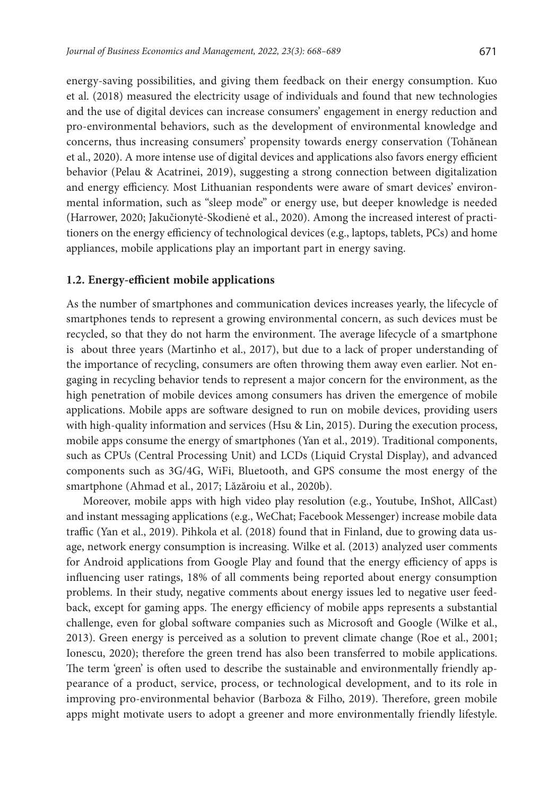energy-saving possibilities, and giving them feedback on their energy consumption. Kuo et al. (2018) measured the electricity usage of individuals and found that new technologies and the use of digital devices can increase consumers' engagement in energy reduction and pro-environmental behaviors, such as the development of environmental knowledge and concerns, thus increasing consumers' propensity towards energy conservation (Tohănean et al., 2020). A more intense use of digital devices and applications also favors energy efficient behavior (Pelau & Acatrinei, 2019), suggesting a strong connection between digitalization and energy efficiency. Most Lithuanian respondents were aware of smart devices' environmental information, such as "sleep mode" or energy use, but deeper knowledge is needed (Harrower, 2020; Jakučionytė-Skodienė et al., 2020). Among the increased interest of practitioners on the energy efficiency of technological devices (e.g., laptops, tablets, PCs) and home appliances, mobile applications play an important part in energy saving.

#### **1.2. Energy-efficient mobile applications**

As the number of smartphones and communication devices increases yearly, the lifecycle of smartphones tends to represent a growing environmental concern, as such devices must be recycled, so that they do not harm the environment. The average lifecycle of a smartphone is about three years (Martinho et al., 2017), but due to a lack of proper understanding of the importance of recycling, consumers are often throwing them away even earlier. Not engaging in recycling behavior tends to represent a major concern for the environment, as the high penetration of mobile devices among consumers has driven the emergence of mobile applications. Mobile apps are software designed to run on mobile devices, providing users with high-quality information and services (Hsu & Lin, 2015). During the execution process, mobile apps consume the energy of smartphones (Yan et al., 2019). Traditional components, such as CPUs (Central Processing Unit) and LCDs (Liquid Crystal Display), and advanced components such as 3G/4G, WiFi, Bluetooth, and GPS consume the most energy of the smartphone (Ahmad et al., 2017; Lăzăroiu et al., 2020b).

Moreover, mobile apps with high video play resolution (e.g., Youtube, InShot, AllCast) and instant messaging applications (e.g., WeChat; Facebook Messenger) increase mobile data traffic (Yan et al., 2019). Pihkola et al. (2018) found that in Finland, due to growing data usage, network energy consumption is increasing. Wilke et al. (2013) analyzed user comments for Android applications from Google Play and found that the energy efficiency of apps is influencing user ratings, 18% of all comments being reported about energy consumption problems. In their study, negative comments about energy issues led to negative user feedback, except for gaming apps. The energy efficiency of mobile apps represents a substantial challenge, even for global software companies such as Microsoft and Google (Wilke et al., 2013). Green energy is perceived as a solution to prevent climate change (Roe et al., 2001; Ionescu, 2020); therefore the green trend has also been transferred to mobile applications. The term 'green' is often used to describe the sustainable and environmentally friendly appearance of a product, service, process, or technological development, and to its role in improving pro-environmental behavior (Barboza & Filho, 2019). Therefore, green mobile apps might motivate users to adopt a greener and more environmentally friendly lifestyle.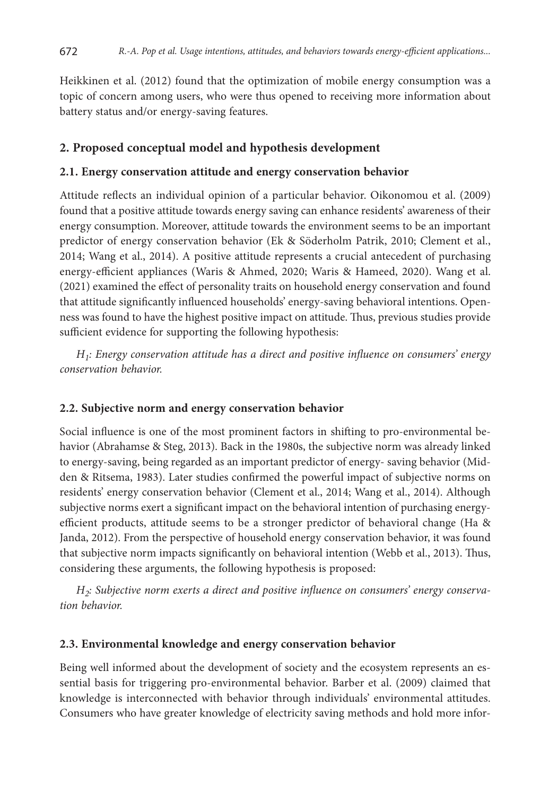Heikkinen et al. (2012) found that the optimization of mobile energy consumption was a topic of concern among users, who were thus opened to receiving more information about battery status and/or energy-saving features.

### **2. Proposed conceptual model and hypothesis development**

#### **2.1. Energy conservation attitude and energy conservation behavior**

Attitude reflects an individual opinion of a particular behavior. Oikonomou et al. (2009) found that a positive attitude towards energy saving can enhance residents' awareness of their energy consumption. Moreover, attitude towards the environment seems to be an important predictor of energy conservation behavior (Ek & Söderholm Patrik, 2010; Clement et al., 2014; Wang et al., 2014). A positive attitude represents a crucial antecedent of purchasing energy-efficient appliances (Waris & Ahmed, 2020; Waris & Hameed, 2020). Wang et al. (2021) examined the effect of personality traits on household energy conservation and found that attitude significantly influenced households' energy-saving behavioral intentions. Openness was found to have the highest positive impact on attitude. Thus, previous studies provide sufficient evidence for supporting the following hypothesis:

*H1: Energy conservation attitude has a direct and positive influence on consumers' energy conservation behavior.*

#### **2.2. Subjective norm and energy conservation behavior**

Social influence is one of the most prominent factors in shifting to pro-environmental behavior (Abrahamse & Steg, 2013). Back in the 1980s, the subjective norm was already linked to energy-saving, being regarded as an important predictor of energy- saving behavior (Midden & Ritsema, 1983). Later studies confirmed the powerful impact of subjective norms on residents' energy conservation behavior (Clement et al., 2014; Wang et al., 2014). Although subjective norms exert a significant impact on the behavioral intention of purchasing energyefficient products, attitude seems to be a stronger predictor of behavioral change (Ha & Janda, 2012). From the perspective of household energy conservation behavior, it was found that subjective norm impacts significantly on behavioral intention (Webb et al., 2013). Thus, considering these arguments, the following hypothesis is proposed:

*H2: Subjective norm exerts a direct and positive influence on consumers' energy conservation behavior.*

#### **2.3. Environmental knowledge and energy conservation behavior**

Being well informed about the development of society and the ecosystem represents an essential basis for triggering pro-environmental behavior. Barber et al. (2009) claimed that knowledge is interconnected with behavior through individuals' environmental attitudes. Consumers who have greater knowledge of electricity saving methods and hold more infor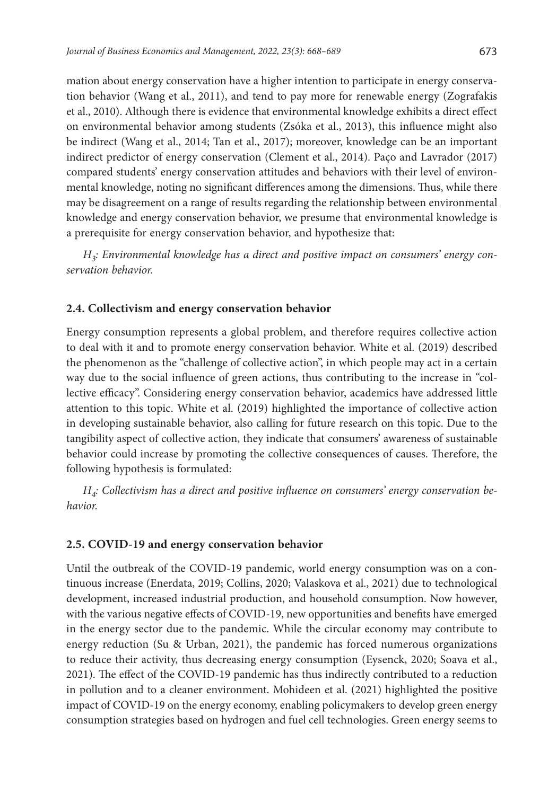mation about energy conservation have a higher intention to participate in energy conservation behavior (Wang et al., 2011), and tend to pay more for renewable energy (Zografakis et al., 2010). Although there is evidence that environmental knowledge exhibits a direct effect on environmental behavior among students (Zsóka et al., 2013), this influence might also be indirect (Wang et al., 2014; Tan et al., 2017); moreover, knowledge can be an important indirect predictor of energy conservation (Clement et al., 2014). Paço and Lavrador (2017) compared students' energy conservation attitudes and behaviors with their level of environmental knowledge, noting no significant differences among the dimensions. Thus, while there may be disagreement on a range of results regarding the relationship between environmental knowledge and energy conservation behavior, we presume that environmental knowledge is a prerequisite for energy conservation behavior, and hypothesize that:

*H3: Environmental knowledge has a direct and positive impact on consumers' energy conservation behavior.* 

#### **2.4. Collectivism and energy conservation behavior**

Energy consumption represents a global problem, and therefore requires collective action to deal with it and to promote energy conservation behavior. White et al. (2019) described the phenomenon as the "challenge of collective action", in which people may act in a certain way due to the social influence of green actions, thus contributing to the increase in "collective efficacy". Considering energy conservation behavior, academics have addressed little attention to this topic. White et al. (2019) highlighted the importance of collective action in developing sustainable behavior, also calling for future research on this topic. Due to the tangibility aspect of collective action, they indicate that consumers' awareness of sustainable behavior could increase by promoting the collective consequences of causes. Therefore, the following hypothesis is formulated:

*H4: Collectivism has a direct and positive influence on consumers' energy conservation behavior.*

#### **2.5. COVID-19 and energy conservation behavior**

Until the outbreak of the COVID-19 pandemic, world energy consumption was on a continuous increase (Enerdata, 2019; Collins, 2020; Valaskova et al., 2021) due to technological development, increased industrial production, and household consumption. Now however, with the various negative effects of COVID-19, new opportunities and benefits have emerged in the energy sector due to the pandemic. While the circular economy may contribute to energy reduction (Su & Urban, 2021), the pandemic has forced numerous organizations to reduce their activity, thus decreasing energy consumption (Eysenck, 2020; Soava et al., 2021). The effect of the COVID-19 pandemic has thus indirectly contributed to a reduction in pollution and to a cleaner environment. Mohideen et al. (2021) highlighted the positive impact of COVID-19 on the energy economy, enabling policymakers to develop green energy consumption strategies based on hydrogen and fuel cell technologies. Green energy seems to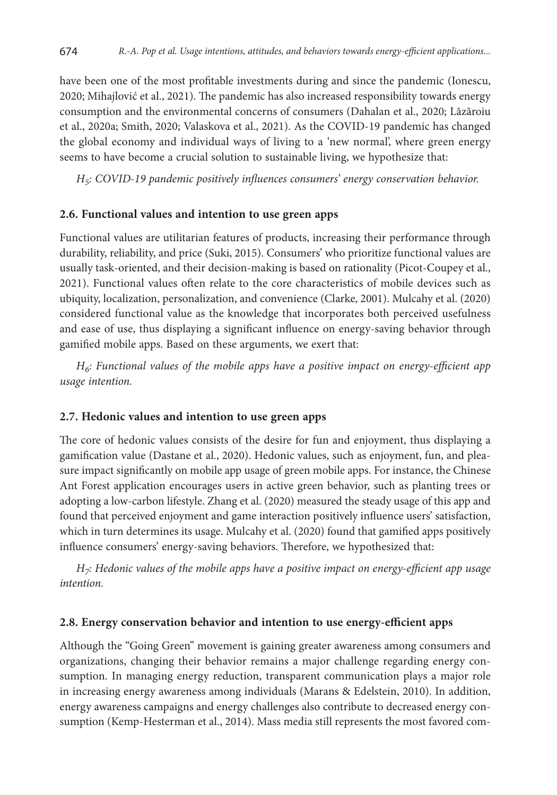have been one of the most profitable investments during and since the pandemic (Ionescu, 2020; Mihajlović et al., 2021). The pandemic has also increased responsibility towards energy consumption and the environmental concerns of consumers (Dahalan et al., 2020; Lăzăroiu et al., 2020a; Smith, 2020; Valaskova et al., 2021). As the COVID-19 pandemic has changed the global economy and individual ways of living to a 'new normal', where green energy seems to have become a crucial solution to sustainable living, we hypothesize that:

*H5: COVID-19 pandemic positively influences consumers' energy conservation behavior.*

#### **2.6. Functional values and intention to use green apps**

Functional values are utilitarian features of products, increasing their performance through durability, reliability, and price (Suki, 2015). Consumers' who prioritize functional values are usually task-oriented, and their decision-making is based on rationality (Picot-Coupey et al., 2021). Functional values often relate to the core characteristics of mobile devices such as ubiquity, localization, personalization, and convenience (Clarke, 2001). Mulcahy et al. (2020) considered functional value as the knowledge that incorporates both perceived usefulness and ease of use, thus displaying a significant influence on energy-saving behavior through gamified mobile apps. Based on these arguments, we exert that:

*H6: Functional values of the mobile apps have a positive impact on energy-efficient app usage intention.*

#### **2.7. Hedonic values and intention to use green apps**

The core of hedonic values consists of the desire for fun and enjoyment, thus displaying a gamification value (Dastane et al., 2020). Hedonic values, such as enjoyment, fun, and pleasure impact significantly on mobile app usage of green mobile apps. For instance, the Chinese Ant Forest application encourages users in active green behavior, such as planting trees or adopting a low-carbon lifestyle. Zhang et al. (2020) measured the steady usage of this app and found that perceived enjoyment and game interaction positively influence users' satisfaction, which in turn determines its usage. Mulcahy et al. (2020) found that gamified apps positively influence consumers' energy-saving behaviors. Therefore, we hypothesized that:

*H7: Hedonic values of the mobile apps have a positive impact on energy-efficient app usage intention.*

#### **2.8. Energy conservation behavior and intention to use energy-efficient apps**

Although the "Going Green" movement is gaining greater awareness among consumers and organizations, changing their behavior remains a major challenge regarding energy consumption. In managing energy reduction, transparent communication plays a major role in increasing energy awareness among individuals (Marans & Edelstein, 2010). In addition, energy awareness campaigns and energy challenges also contribute to decreased energy consumption (Kemp-Hesterman et al., 2014). Mass media still represents the most favored com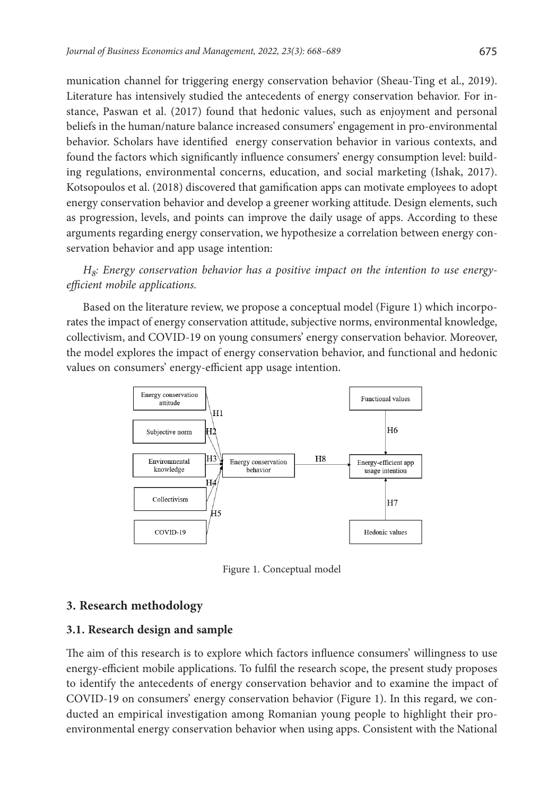munication channel for triggering energy conservation behavior (Sheau-Ting et al., 2019). Literature has intensively studied the antecedents of energy conservation behavior. For instance, Paswan et al. (2017) found that hedonic values, such as enjoyment and personal beliefs in the human/nature balance increased consumers' engagement in pro-environmental behavior. Scholars have identified energy conservation behavior in various contexts, and found the factors which significantly influence consumers' energy consumption level: building regulations, environmental concerns, education, and social marketing (Ishak, 2017). Kotsopoulos et al. (2018) discovered that gamification apps can motivate employees to adopt energy conservation behavior and develop a greener working attitude. Design elements, such as progression, levels, and points can improve the daily usage of apps. According to these arguments regarding energy conservation, we hypothesize a correlation between energy conservation behavior and app usage intention:

*H8: Energy conservation behavior has a positive impact on the intention to use energyefficient mobile applications.*

Based on the literature review, we propose a conceptual model (Figure 1) which incorporates the impact of energy conservation attitude, subjective norms, environmental knowledge, collectivism, and COVID-19 on young consumers' energy conservation behavior. Moreover, the model explores the impact of energy conservation behavior, and functional and hedonic values on consumers' energy-efficient app usage intention.



Figure 1. Conceptual model

#### **3. Research methodology**

#### **3.1. Research design and sample**

The aim of this research is to explore which factors influence consumers' willingness to use energy-efficient mobile applications. To fulfil the research scope, the present study proposes to identify the antecedents of energy conservation behavior and to examine the impact of COVID-19 on consumers' energy conservation behavior (Figure 1). In this regard, we conducted an empirical investigation among Romanian young people to highlight their proenvironmental energy conservation behavior when using apps. Consistent with the National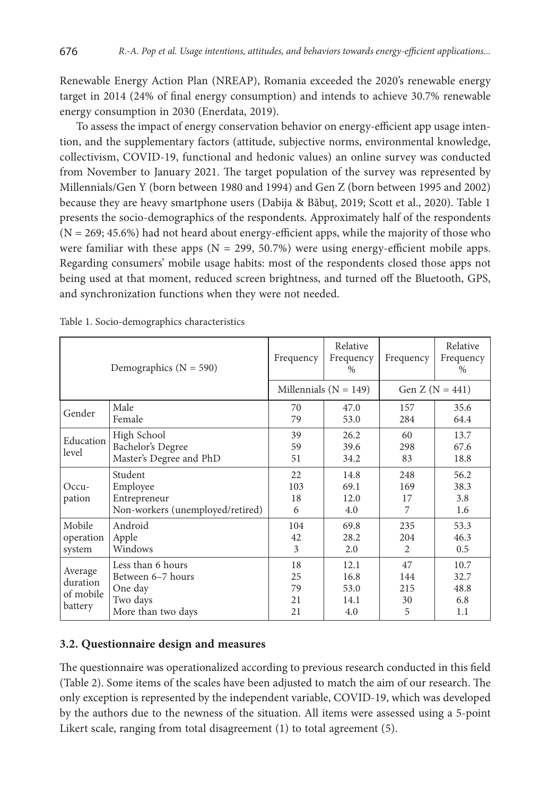Renewable Energy Action Plan (NREAP), Romania exceeded the 2020's renewable energy target in 2014 (24% of final energy consumption) and intends to achieve 30.7% renewable energy consumption in 2030 (Enerdata, 2019).

To assess the impact of energy conservation behavior on energy-efficient app usage intention, and the supplementary factors (attitude, subjective norms, environmental knowledge, collectivism, COVID-19, functional and hedonic values) an online survey was conducted from November to January 2021. The target population of the survey was represented by Millennials/Gen Y (born between 1980 and 1994) and Gen Z (born between 1995 and 2002) because they are heavy smartphone users (Dabija & Băbuț, 2019; Scott et al., 2020). Table 1 presents the socio-demographics of the respondents. Approximately half of the respondents  $(N = 269; 45.6%)$  had not heard about energy-efficient apps, while the majority of those who were familiar with these apps ( $N = 299, 50.7\%$ ) were using energy-efficient mobile apps. Regarding consumers' mobile usage habits: most of the respondents closed those apps not being used at that moment, reduced screen brightness, and turned off the Bluetooth, GPS, and synchronization functions when they were not needed.

|                                             | Demographics ( $N = 590$ )                                                          | Frequency                  | Relative<br>Frequency<br>$\%$       | Frequency                    | Relative<br>Frequency<br>$\%$      |
|---------------------------------------------|-------------------------------------------------------------------------------------|----------------------------|-------------------------------------|------------------------------|------------------------------------|
|                                             |                                                                                     | Millennials ( $N = 149$ )  |                                     | Gen $Z (N = 441)$            |                                    |
| Gender                                      | Male<br>Female                                                                      | 70<br>79                   | 47.0<br>53.0                        | 157<br>284                   | 35.6<br>64.4                       |
| Education<br>level                          | High School<br>Bachelor's Degree<br>Master's Degree and PhD                         | 39<br>59<br>51             | 26.2<br>39.6<br>34.2                | 60<br>298<br>83              | 13.7<br>67.6<br>18.8               |
| $Occu-$<br>pation                           | Student<br>Employee<br>Entrepreneur<br>Non-workers (unemployed/retired)             | 22<br>103<br>18<br>6       | 14.8<br>69.1<br>12.0<br>4.0         | 248<br>169<br>17<br>7        | 56.2<br>38.3<br>3.8<br>1.6         |
| Mobile<br>operation<br>system               | Android<br>Apple<br>Windows                                                         | 104<br>42<br>3             | 69.8<br>28.2<br>2.0                 | 235<br>204<br>$\mathfrak{D}$ | 53.3<br>46.3<br>0.5                |
| Average<br>duration<br>of mobile<br>battery | Less than 6 hours<br>Between 6-7 hours<br>One day<br>Two days<br>More than two days | 18<br>25<br>79<br>21<br>21 | 12.1<br>16.8<br>53.0<br>14.1<br>4.0 | 47<br>144<br>215<br>30<br>5  | 10.7<br>32.7<br>48.8<br>6.8<br>1.1 |

Table 1. Socio-demographics characteristics

### **3.2. Questionnaire design and measures**

The questionnaire was operationalized according to previous research conducted in this field (Table 2). Some items of the scales have been adjusted to match the aim of our research. The only exception is represented by the independent variable, COVID-19, which was developed by the authors due to the newness of the situation. All items were assessed using a 5-point Likert scale, ranging from total disagreement (1) to total agreement (5).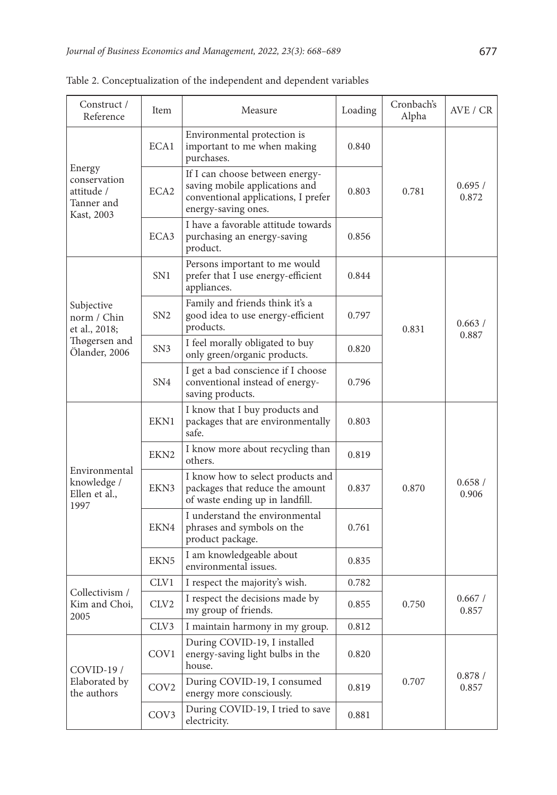| Construct /<br>Reference                                         | Item             | Measure                                                                                                                         | Loading | Cronbach's<br>Alpha | AVE / CR        |
|------------------------------------------------------------------|------------------|---------------------------------------------------------------------------------------------------------------------------------|---------|---------------------|-----------------|
|                                                                  | ECA1             | Environmental protection is<br>important to me when making<br>purchases.                                                        | 0.840   |                     | 0.695/<br>0.872 |
| Energy<br>conservation<br>attitude /<br>Tanner and<br>Kast, 2003 | ECA <sub>2</sub> | If I can choose between energy-<br>saving mobile applications and<br>conventional applications, I prefer<br>energy-saving ones. | 0.803   | 0.781               |                 |
|                                                                  | ECA3             | I have a favorable attitude towards<br>purchasing an energy-saving<br>product.                                                  | 0.856   |                     |                 |
|                                                                  | SN1              | Persons important to me would<br>prefer that I use energy-efficient<br>appliances.                                              | 0.844   |                     | 0.663/          |
| Subjective<br>norm / Chin<br>et al., 2018;                       | SN2              | Family and friends think it's a<br>good idea to use energy-efficient<br>products.                                               | 0.797   | 0.831               |                 |
| Thøgersen and<br>Ölander, 2006                                   | SN3              | I feel morally obligated to buy<br>only green/organic products.                                                                 | 0.820   |                     | 0.887           |
|                                                                  | SN <sub>4</sub>  | I get a bad conscience if I choose<br>conventional instead of energy-<br>saving products.                                       | 0.796   |                     |                 |
|                                                                  | EKN1             | I know that I buy products and<br>packages that are environmentally<br>safe.                                                    | 0.803   |                     |                 |
| Environmental<br>knowledge /<br>Ellen et al.,<br>1997            | EKN <sub>2</sub> | I know more about recycling than<br>0.819<br>others.                                                                            |         |                     |                 |
|                                                                  | EKN3             | I know how to select products and<br>packages that reduce the amount<br>of waste ending up in landfill.                         | 0.837   | 0.870               | 0.658/<br>0.906 |
|                                                                  | EKN4             | I understand the environmental<br>phrases and symbols on the<br>0.761<br>product package.                                       |         |                     |                 |
|                                                                  | EKN <sub>5</sub> | I am knowledgeable about<br>environmental issues.                                                                               | 0.835   |                     |                 |
|                                                                  | CLV <sub>1</sub> | I respect the majority's wish.                                                                                                  | 0.782   |                     |                 |
| Collectivism /<br>Kim and Choi,<br>2005                          | CLV2             | I respect the decisions made by<br>my group of friends.                                                                         | 0.855   | 0.750               | 0.667/<br>0.857 |
|                                                                  | CLV3             | I maintain harmony in my group.                                                                                                 | 0.812   |                     |                 |
| $COVID-19/$                                                      | COV1             | During COVID-19, I installed<br>energy-saving light bulbs in the<br>house.                                                      | 0.820   |                     |                 |
| Elaborated by<br>the authors                                     | COV <sub>2</sub> | During COVID-19, I consumed<br>energy more consciously.                                                                         | 0.819   | 0.707               | 0.878/<br>0.857 |
|                                                                  | COV <sub>3</sub> | During COVID-19, I tried to save<br>electricity.                                                                                | 0.881   |                     |                 |

Table 2. Conceptualization of the independent and dependent variables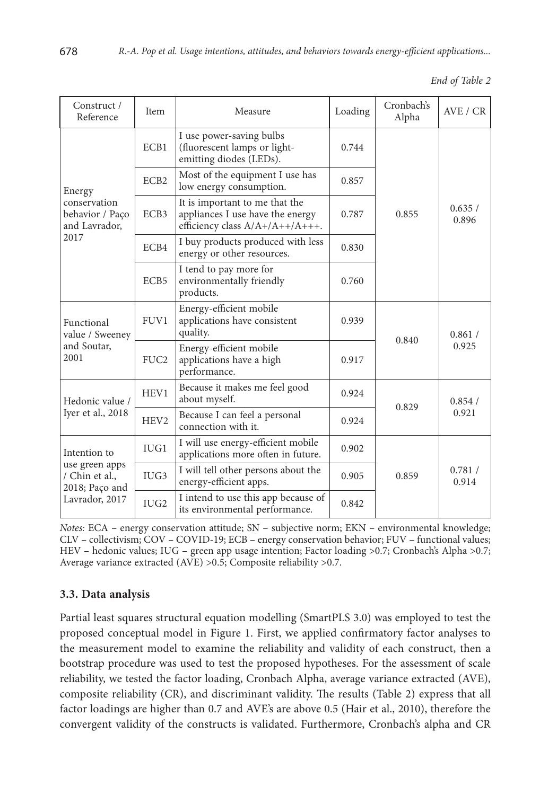|  |  | End of Table 2 |  |
|--|--|----------------|--|
|--|--|----------------|--|

| Construct /<br>Reference                                                             | Item<br>Measure  |                                                                                                       | Loading | Cronbach's<br>Alpha | AVE / CR        |  |
|--------------------------------------------------------------------------------------|------------------|-------------------------------------------------------------------------------------------------------|---------|---------------------|-----------------|--|
| Energy<br>conservation<br>behavior / Paço<br>and Lavrador,                           | ECB1             | I use power-saving bulbs<br>(fluorescent lamps or light-<br>emitting diodes (LEDs).                   | 0.744   |                     |                 |  |
|                                                                                      | ECB <sub>2</sub> | Most of the equipment I use has<br>low energy consumption.                                            | 0.857   |                     | 0.635/<br>0.896 |  |
|                                                                                      | ECB3             | It is important to me that the<br>appliances I use have the energy<br>efficiency class A/A+/A++/A+++. | 0.787   | 0.855               |                 |  |
| 2017                                                                                 | ECB4             | I buy products produced with less<br>energy or other resources.                                       | 0.830   |                     |                 |  |
|                                                                                      | ECB5             | I tend to pay more for<br>environmentally friendly<br>products.                                       | 0.760   |                     |                 |  |
| Functional<br>value / Sweeney<br>and Soutar,<br>2001                                 | FUV <sub>1</sub> | Energy-efficient mobile<br>applications have consistent<br>quality.                                   | 0.939   | 0.840               | 0.861/<br>0.925 |  |
|                                                                                      | FUC <sub>2</sub> | Energy-efficient mobile<br>applications have a high<br>performance.                                   | 0.917   |                     |                 |  |
| Hedonic value /<br>Iyer et al., 2018                                                 | HEV1             | Because it makes me feel good<br>about myself.                                                        | 0.924   | 0.829               | 0.854/<br>0.921 |  |
|                                                                                      | HEV <sub>2</sub> | Because I can feel a personal<br>connection with it.                                                  | 0.924   |                     |                 |  |
| Intention to<br>use green apps<br>/ Chin et al.,<br>2018; Paço and<br>Lavrador, 2017 | IUG1             | I will use energy-efficient mobile<br>applications more often in future.                              | 0.902   |                     |                 |  |
|                                                                                      | IUG <sub>3</sub> | I will tell other persons about the<br>energy-efficient apps.                                         | 0.905   | 0.859               |                 |  |
|                                                                                      | IUG2             | I intend to use this app because of<br>its environmental performance.                                 | 0.842   |                     |                 |  |

*Notes:* ECA – energy conservation attitude; SN – subjective norm; EKN – environmental knowledge; CLV – collectivism; COV – COVID-19; ECB – energy conservation behavior; FUV – functional values; HEV – hedonic values; IUG – green app usage intention; Factor loading >0.7; Cronbach's Alpha >0.7; Average variance extracted (AVE) >0.5; Composite reliability >0.7.

## **3.3. Data analysis**

Partial least squares structural equation modelling (SmartPLS 3.0) was employed to test the proposed conceptual model in Figure 1. First, we applied confirmatory factor analyses to the measurement model to examine the reliability and validity of each construct, then a bootstrap procedure was used to test the proposed hypotheses. For the assessment of scale reliability, we tested the factor loading, Cronbach Alpha, average variance extracted (AVE), composite reliability (CR), and discriminant validity. The results (Table 2) express that all factor loadings are higher than 0.7 and AVE's are above 0.5 (Hair et al., 2010), therefore the convergent validity of the constructs is validated. Furthermore, Cronbach's alpha and CR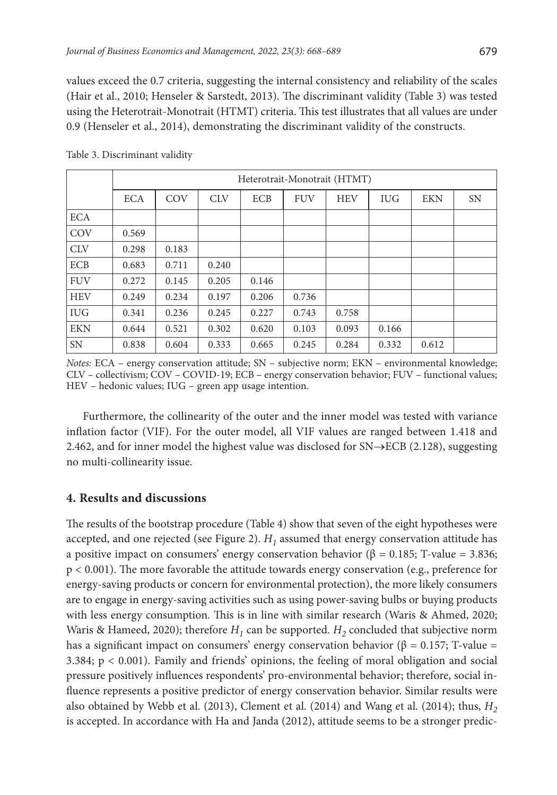values exceed the 0.7 criteria, suggesting the internal consistency and reliability of the scales (Hair et al., 2010; Henseler & Sarstedt, 2013). The discriminant validity (Table 3) was tested using the Heterotrait-Monotrait (HTMT) criteria. This test illustrates that all values are under 0.9 (Henseler et al., 2014), demonstrating the discriminant validity of the constructs.

|            | Heterotrait-Monotrait (HTMT) |       |            |            |            |            |            |            |           |
|------------|------------------------------|-------|------------|------------|------------|------------|------------|------------|-----------|
|            | <b>ECA</b>                   | COV   | <b>CLV</b> | <b>ECB</b> | <b>FUV</b> | <b>HEV</b> | <b>IUG</b> | <b>EKN</b> | <b>SN</b> |
| <b>ECA</b> |                              |       |            |            |            |            |            |            |           |
| COV        | 0.569                        |       |            |            |            |            |            |            |           |
| <b>CLV</b> | 0.298                        | 0.183 |            |            |            |            |            |            |           |
| <b>ECB</b> | 0.683                        | 0.711 | 0.240      |            |            |            |            |            |           |
| <b>FUV</b> | 0.272                        | 0.145 | 0.205      | 0.146      |            |            |            |            |           |
| <b>HEV</b> | 0.249                        | 0.234 | 0.197      | 0.206      | 0.736      |            |            |            |           |
| <b>IUG</b> | 0.341                        | 0.236 | 0.245      | 0.227      | 0.743      | 0.758      |            |            |           |
| <b>EKN</b> | 0.644                        | 0.521 | 0.302      | 0.620      | 0.103      | 0.093      | 0.166      |            |           |
| <b>SN</b>  | 0.838                        | 0.604 | 0.333      | 0.665      | 0.245      | 0.284      | 0.332      | 0.612      |           |

Table 3. Discriminant validity

*Notes:* ECA – energy conservation attitude; SN – subjective norm; EKN – environmental knowledge; CLV – collectivism; COV – COVID-19; ECB – energy conservation behavior; FUV – functional values; HEV – hedonic values; IUG – green app usage intention.

Furthermore, the collinearity of the outer and the inner model was tested with variance inflation factor (VIF). For the outer model, all VIF values are ranged between 1.418 and 2.462, and for inner model the highest value was disclosed for SN→ECB (2.128), suggesting no multi-collinearity issue.

### **4. Results and discussions**

The results of the bootstrap procedure (Table 4) show that seven of the eight hypotheses were accepted, and one rejected (see Figure 2).  $H_1$  assumed that energy conservation attitude has a positive impact on consumers' energy conservation behavior (β = 0.185; T-value = 3.836; p < 0.001). The more favorable the attitude towards energy conservation (e.g., preference for energy-saving products or concern for environmental protection), the more likely consumers are to engage in energy-saving activities such as using power-saving bulbs or buying products with less energy consumption. This is in line with similar research (Waris & Ahmed, 2020; Waris & Hameed, 2020); therefore  $H_1$  can be supported.  $H_2$  concluded that subjective norm has a significant impact on consumers' energy conservation behavior ( $\beta = 0.157$ ; T-value = 3.384; p < 0.001). Family and friends' opinions, the feeling of moral obligation and social pressure positively influences respondents' pro-environmental behavior; therefore, social influence represents a positive predictor of energy conservation behavior. Similar results were also obtained by Webb et al. (2013), Clement et al. (2014) and Wang et al. (2014); thus,  $H_2$ is accepted. In accordance with Ha and Janda (2012), attitude seems to be a stronger predic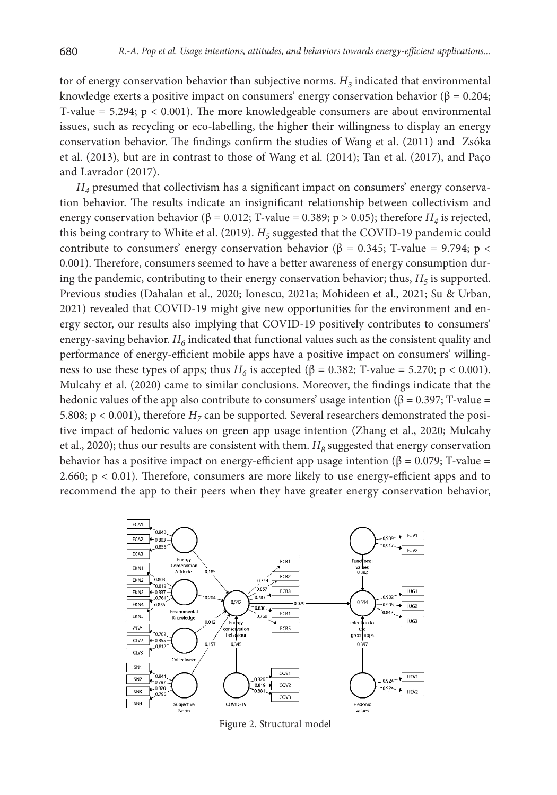tor of energy conservation behavior than subjective norms.  $H_3$  indicated that environmental knowledge exerts a positive impact on consumers' energy conservation behavior ( $\beta = 0.204$ ; T-value  $= 5.294$ ;  $p < 0.001$ ). The more knowledgeable consumers are about environmental issues, such as recycling or eco-labelling, the higher their willingness to display an energy conservation behavior. The findings confirm the studies of Wang et al. (2011) and Zsóka et al. (2013), but are in contrast to those of Wang et al. (2014); Tan et al. (2017), and Paço and Lavrador (2017).

*H4* presumed that collectivism has a significant impact on consumers' energy conservation behavior. The results indicate an insignificant relationship between collectivism and energy conservation behavior ( $\beta = 0.012$ ; T-value = 0.389; p > 0.05); therefore *H<sub>4</sub>* is rejected, this being contrary to White et al. (2019).  $H_5$  suggested that the COVID-19 pandemic could contribute to consumers' energy conservation behavior ( $\beta = 0.345$ ; T-value = 9.794; p < 0.001). Therefore, consumers seemed to have a better awareness of energy consumption during the pandemic, contributing to their energy conservation behavior; thus,  $H_5$  is supported. Previous studies (Dahalan et al., 2020; Ionescu, 2021a; Mohideen et al., 2021; Su & Urban, 2021) revealed that COVID-19 might give new opportunities for the environment and energy sector, our results also implying that COVID-19 positively contributes to consumers' energy-saving behavior.  $H_6$  indicated that functional values such as the consistent quality and performance of energy-efficient mobile apps have a positive impact on consumers' willingness to use these types of apps; thus  $H_6$  is accepted ( $\beta = 0.382$ ; T-value = 5.270; p < 0.001). Mulcahy et al. (2020) came to similar conclusions. Moreover, the findings indicate that the hedonic values of the app also contribute to consumers' usage intention ( $\beta = 0.397$ ; T-value = 5.808;  $p < 0.001$ ), therefore  $H<sub>7</sub>$  can be supported. Several researchers demonstrated the positive impact of hedonic values on green app usage intention (Zhang et al., 2020; Mulcahy et al., 2020); thus our results are consistent with them.  $H_8$  suggested that energy conservation behavior has a positive impact on energy-efficient app usage intention ( $\beta = 0.079$ ; T-value = 2.660;  $p < 0.01$ ). Therefore, consumers are more likely to use energy-efficient apps and to recommend the app to their peers when they have greater energy conservation behavior,



Figure 2. Structural model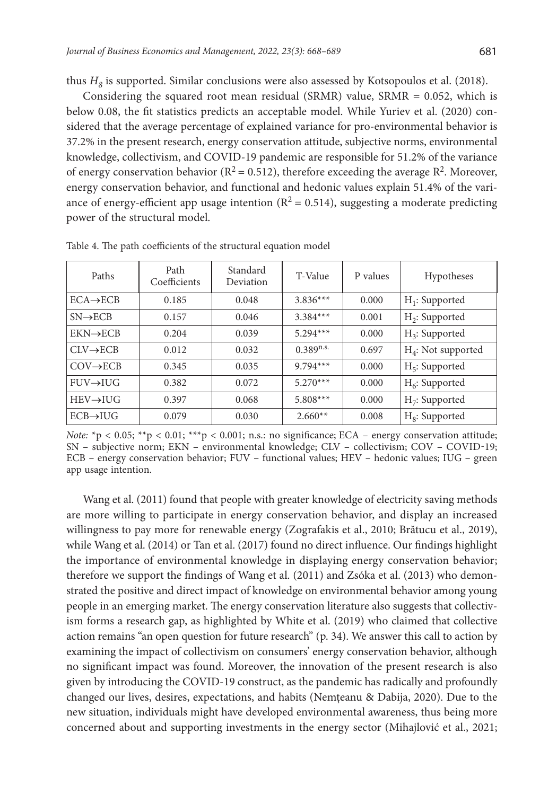thus  $H_8$  is supported. Similar conclusions were also assessed by Kotsopoulos et al. (2018).

Considering the squared root mean residual (SRMR) value, SRMR  $= 0.052$ , which is below 0.08, the fit statistics predicts an acceptable model. While Yuriev et al. (2020) considered that the average percentage of explained variance for pro-environmental behavior is 37.2% in the present research, energy conservation attitude, subjective norms, environmental knowledge, collectivism, and COVID-19 pandemic are responsible for 51.2% of the variance of energy conservation behavior ( $R^2 = 0.512$ ), therefore exceeding the average  $R^2$ . Moreover, energy conservation behavior, and functional and hedonic values explain 51.4% of the variance of energy-efficient app usage intention ( $R^2 = 0.514$ ), suggesting a moderate predicting power of the structural model.

| Paths                   | Path<br>Coefficients | Standard<br>Deviation | T-Value        | P values | Hypotheses            |
|-------------------------|----------------------|-----------------------|----------------|----------|-----------------------|
| $ECA \rightarrow ECB$   | 0.185                | 0.048                 | $3.836***$     | 0.000    | $H_1$ : Supported     |
| $SN \rightarrow ECB$    | 0.157                | 0.046                 | $3.384***$     | 0.001    | $H_2$ : Supported     |
| $EKN \rightarrow ECB$   | 0.204                | 0.039                 | $5.294***$     | 0.000    | $H_3$ : Supported     |
| $CLV \rightarrow ECB$   | 0.012                | 0.032                 | $0.389^{n.s.}$ | 0.697    | $H_4$ : Not supported |
| $COV \rightarrow ECB$   | 0.345                | 0.035                 | $9.794***$     | 0.000    | $H_5$ : Supported     |
| $FUV \rightarrow IUG$   | 0.382                | 0.072                 | $5.270***$     | 0.000    | $H_6$ : Supported     |
| $HEV \rightarrow H U G$ | 0.397                | 0.068                 | $5.808***$     | 0.000    | $H_7$ : Supported     |
| $ECB \rightarrow IUG$   | 0.079                | 0.030                 | $2.660**$      | 0.008    | $H_8$ : Supported     |

Table 4. The path coefficients of the structural equation model

*Note:*  $*$ p < 0.05;  $*$  $*$ p < 0.01;  $*$  $*$  $*$ p < 0.001; n.s.: no significance; ECA – energy conservation attitude; SN – subjective norm; EKN – environmental knowledge; CLV – collectivism; COV – COVID-19; ECB – energy conservation behavior; FUV – functional values; HEV – hedonic values; IUG – green app usage intention.

Wang et al. (2011) found that people with greater knowledge of electricity saving methods are more willing to participate in energy conservation behavior, and display an increased willingness to pay more for renewable energy (Zografakis et al., 2010; Brătucu et al., 2019), while Wang et al. (2014) or Tan et al. (2017) found no direct influence. Our findings highlight the importance of environmental knowledge in displaying energy conservation behavior; therefore we support the findings of Wang et al. (2011) and Zsóka et al. (2013) who demonstrated the positive and direct impact of knowledge on environmental behavior among young people in an emerging market. The energy conservation literature also suggests that collectivism forms a research gap, as highlighted by White et al. (2019) who claimed that collective action remains "an open question for future research" (p. 34). We answer this call to action by examining the impact of collectivism on consumers' energy conservation behavior, although no significant impact was found. Moreover, the innovation of the present research is also given by introducing the COVID-19 construct, as the pandemic has radically and profoundly changed our lives, desires, expectations, and habits (Nemțeanu & Dabija, 2020). Due to the new situation, individuals might have developed environmental awareness, thus being more concerned about and supporting investments in the energy sector (Mihajlović et al., 2021;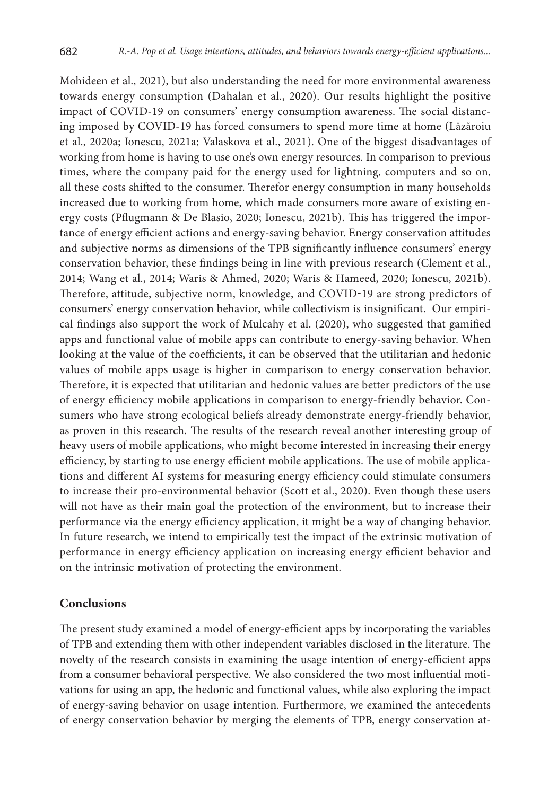Mohideen et al., 2021), but also understanding the need for more environmental awareness towards energy consumption (Dahalan et al., 2020). Our results highlight the positive impact of COVID-19 on consumers' energy consumption awareness. The social distancing imposed by COVID-19 has forced consumers to spend more time at home (Lăzăroiu et al., 2020a; Ionescu, 2021a; Valaskova et al., 2021). One of the biggest disadvantages of working from home is having to use one's own energy resources. In comparison to previous times, where the company paid for the energy used for lightning, computers and so on, all these costs shifted to the consumer. Therefor energy consumption in many households increased due to working from home, which made consumers more aware of existing energy costs (Pflugmann & De Blasio, 2020; Ionescu, 2021b). This has triggered the importance of energy efficient actions and energy-saving behavior. Energy conservation attitudes and subjective norms as dimensions of the TPB significantly influence consumers' energy conservation behavior, these findings being in line with previous research (Clement et al., 2014; Wang et al., 2014; Waris & Ahmed, 2020; Waris & Hameed, 2020; Ionescu, 2021b). Therefore, attitude, subjective norm, knowledge, and COVID-19 are strong predictors of consumers' energy conservation behavior, while collectivism is insignificant. Our empirical findings also support the work of Mulcahy et al. (2020), who suggested that gamified apps and functional value of mobile apps can contribute to energy-saving behavior. When looking at the value of the coefficients, it can be observed that the utilitarian and hedonic values of mobile apps usage is higher in comparison to energy conservation behavior. Therefore, it is expected that utilitarian and hedonic values are better predictors of the use of energy efficiency mobile applications in comparison to energy-friendly behavior. Consumers who have strong ecological beliefs already demonstrate energy-friendly behavior, as proven in this research. The results of the research reveal another interesting group of heavy users of mobile applications, who might become interested in increasing their energy efficiency, by starting to use energy efficient mobile applications. The use of mobile applications and different AI systems for measuring energy efficiency could stimulate consumers to increase their pro-environmental behavior (Scott et al., 2020). Even though these users will not have as their main goal the protection of the environment, but to increase their performance via the energy efficiency application, it might be a way of changing behavior. In future research, we intend to empirically test the impact of the extrinsic motivation of performance in energy efficiency application on increasing energy efficient behavior and on the intrinsic motivation of protecting the environment.

#### **Conclusions**

The present study examined a model of energy-efficient apps by incorporating the variables of TPB and extending them with other independent variables disclosed in the literature. The novelty of the research consists in examining the usage intention of energy-efficient apps from a consumer behavioral perspective. We also considered the two most influential motivations for using an app, the hedonic and functional values, while also exploring the impact of energy-saving behavior on usage intention. Furthermore, we examined the antecedents of energy conservation behavior by merging the elements of TPB, energy conservation at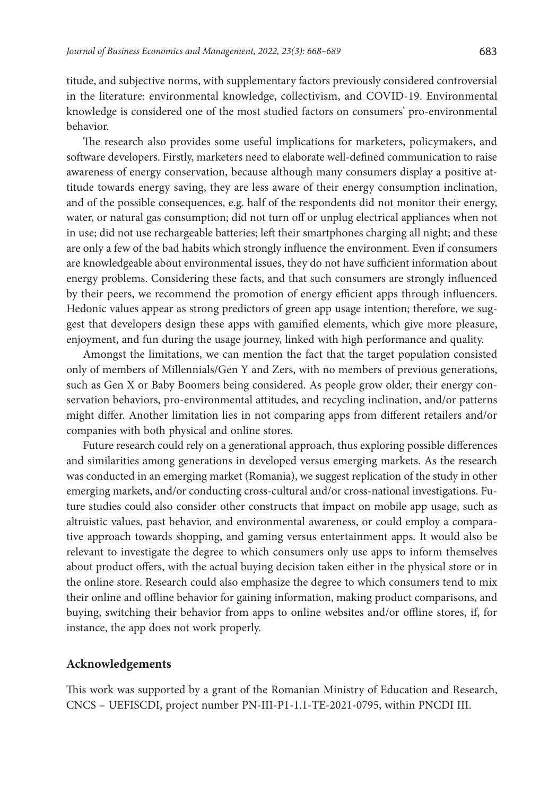titude, and subjective norms, with supplementary factors previously considered controversial in the literature: environmental knowledge, collectivism, and COVID-19. Environmental knowledge is considered one of the most studied factors on consumers' pro-environmental behavior.

The research also provides some useful implications for marketers, policymakers, and software developers. Firstly, marketers need to elaborate well-defined communication to raise awareness of energy conservation, because although many consumers display a positive attitude towards energy saving, they are less aware of their energy consumption inclination, and of the possible consequences, e.g. half of the respondents did not monitor their energy, water, or natural gas consumption; did not turn off or unplug electrical appliances when not in use; did not use rechargeable batteries; left their smartphones charging all night; and these are only a few of the bad habits which strongly influence the environment. Even if consumers are knowledgeable about environmental issues, they do not have sufficient information about energy problems. Considering these facts, and that such consumers are strongly influenced by their peers, we recommend the promotion of energy efficient apps through influencers. Hedonic values appear as strong predictors of green app usage intention; therefore, we suggest that developers design these apps with gamified elements, which give more pleasure, enjoyment, and fun during the usage journey, linked with high performance and quality.

Amongst the limitations, we can mention the fact that the target population consisted only of members of Millennials/Gen Y and Zers, with no members of previous generations, such as Gen X or Baby Boomers being considered. As people grow older, their energy conservation behaviors, pro-environmental attitudes, and recycling inclination, and/or patterns might differ. Another limitation lies in not comparing apps from different retailers and/or companies with both physical and online stores.

Future research could rely on a generational approach, thus exploring possible differences and similarities among generations in developed versus emerging markets. As the research was conducted in an emerging market (Romania), we suggest replication of the study in other emerging markets, and/or conducting cross-cultural and/or cross-national investigations. Future studies could also consider other constructs that impact on mobile app usage, such as altruistic values, past behavior, and environmental awareness, or could employ a comparative approach towards shopping, and gaming versus entertainment apps. It would also be relevant to investigate the degree to which consumers only use apps to inform themselves about product offers, with the actual buying decision taken either in the physical store or in the online store. Research could also emphasize the degree to which consumers tend to mix their online and offline behavior for gaining information, making product comparisons, and buying, switching their behavior from apps to online websites and/or offline stores, if, for instance, the app does not work properly.

#### **Acknowledgements**

This work was supported by a grant of the Romanian Ministry of Education and Research, CNCS – UEFISCDI, project number PN-III-P1-1.1-TE-2021-0795, within PNCDI III.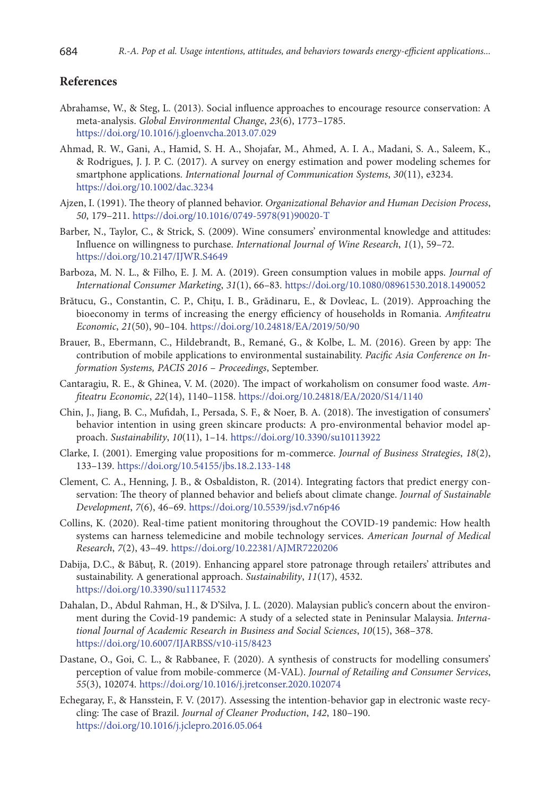### **References**

- Abrahamse, W., & Steg, L. (2013). Social influence approaches to encourage resource conservation: A meta-analysis. *Global Environmental Change*, *23*(6), 1773–1785. https://doi.org/10.1016/j.gloenvcha.2013.07.029
- Ahmad, R. W., Gani, A., Hamid, S. H. A., Shojafar, M., Ahmed, A. I. A., Madani, S. A., Saleem, K., & Rodrigues, J. J. P. C. (2017). A survey on energy estimation and power modeling schemes for smartphone applications. *International Journal of Communication Systems*, *30*(11), e3234. https://doi.org/10.1002/dac.3234
- Ajzen, I. (1991). The theory of planned behavior. *Organizational Behavior and Human Decision Process*, *50*, 179–211. https://doi.org/10.1016/0749-5978(91)90020-T
- Barber, N., Taylor, C., & Strick, S. (2009). Wine consumers' environmental knowledge and attitudes: Influence on willingness to purchase. *International Journal of Wine Research*, *1*(1), 59–72. https://doi.org/10.2147/IJWR.S4649
- Barboza, M. N. L., & Filho, E. J. M. A. (2019). Green consumption values in mobile apps. *Journal of International Consumer Marketing*, *31*(1), 66–83. https://doi.org/10.1080/08961530.2018.1490052
- Brătucu, G., Constantin, C. P., Chițu, I. B., Grădinaru, E., & Dovleac, L. (2019). Approaching the bioeconomy in terms of increasing the energy efficiency of households in Romania. *Amfiteatru Economic*, *21*(50), 90–104. https://doi.org/10.24818/EA/2019/50/90
- Brauer, B., Ebermann, C., Hildebrandt, B., Remané, G., & Kolbe, L. M. (2016). Green by app: The contribution of mobile applications to environmental sustainability. *Pacific Asia Conference on Information Systems, PACIS 2016* – *Proceedings*, September.
- Cantaragiu, R. E., & Ghinea, V. M. (2020). The impact of workaholism on consumer food waste. *Amfiteatru Economic*, *22*(14), 1140–1158. https://doi.org/10.24818/EA/2020/S14/1140
- Chin, J., Jiang, B. C., Mufidah, I., Persada, S. F., & Noer, B. A. (2018). The investigation of consumers' behavior intention in using green skincare products: A pro-environmental behavior model approach. *Sustainability*, *10*(11), 1–14. https://doi.org/10.3390/su10113922
- Clarke, I. (2001). Emerging value propositions for m-commerce. *Journal of Business Strategies*, *18*(2), 133–139. https://doi.org/10.54155/jbs.18.2.133-148
- Clement, C. A., Henning, J. B., & Osbaldiston, R. (2014). Integrating factors that predict energy conservation: The theory of planned behavior and beliefs about climate change. *Journal of Sustainable Development*, *7*(6), 46–69. https://doi.org/10.5539/jsd.v7n6p46
- Collins, K. (2020). Real-time patient monitoring throughout the COVID-19 pandemic: How health systems can harness telemedicine and mobile technology services. *American Journal of Medical Research*, *7*(2), 43–49. https://doi.org/10.22381/AJMR7220206
- Dabija, D.C., & Băbuț, R. (2019). Enhancing apparel store patronage through retailers' attributes and sustainability. A generational approach. *Sustainability*, *11*(17), 4532. https://doi.org/10.3390/su11174532
- Dahalan, D., Abdul Rahman, H., & D'Silva, J. L. (2020). Malaysian public's concern about the environment during the Covid-19 pandemic: A study of a selected state in Peninsular Malaysia. *International Journal of Academic Research in Business and Social Sciences*, *10*(15), 368–378. https://doi.org/10.6007/IJARBSS/v10-i15/8423
- Dastane, O., Goi, C. L., & Rabbanee, F. (2020). A synthesis of constructs for modelling consumers' perception of value from mobile-commerce (M-VAL). *Journal of Retailing and Consumer Services*, *55*(3), 102074. https://doi.org/10.1016/j.jretconser.2020.102074
- Echegaray, F., & Hansstein, F. V. (2017). Assessing the intention-behavior gap in electronic waste recycling: The case of Brazil. *Journal of Cleaner Production*, *142*, 180–190. https://doi.org/10.1016/j.jclepro.2016.05.064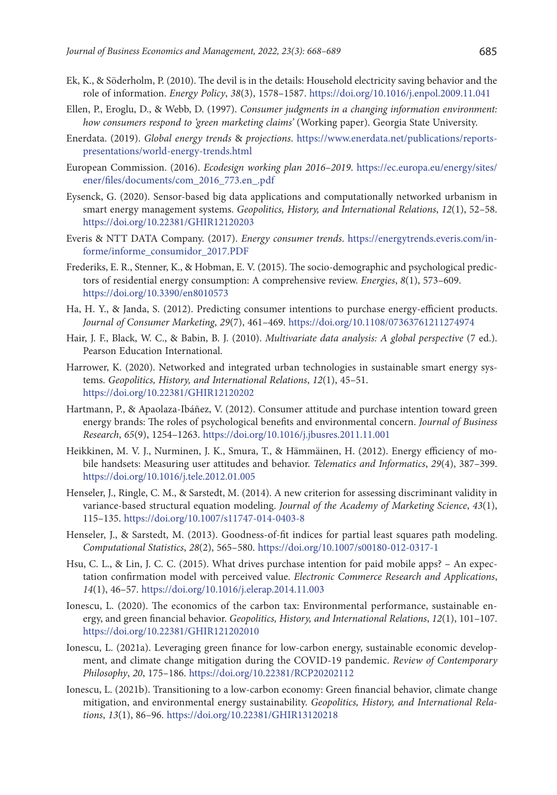- Ek, K., & Söderholm, P. (2010). The devil is in the details: Household electricity saving behavior and the role of information. *Energy Policy*, *38*(3), 1578–1587. https://doi.org/10.1016/j.enpol.2009.11.041
- Ellen, P., Eroglu, D., & Webb, D. (1997). *Consumer judgments in a changing information environment: how consumers respond to 'green marketing claims'* (Working paper). Georgia State University.
- Enerdata. (2019). *Global energy trends* & *projections*. https://www.enerdata.net/publications/reportspresentations/world-energy-trends.html
- European Commission. (2016). *Ecodesign working plan 2016–2019*. https://ec.europa.eu/energy/sites/ ener/files/documents/com\_2016\_773.en\_.pdf
- Eysenck, G. (2020). Sensor-based big data applications and computationally networked urbanism in smart energy management systems. *Geopolitics, History, and International Relations*, *12*(1), 52–58. https://doi.org/10.22381/GHIR12120203
- Everis & NTT DATA Company. (2017). *Energy consumer trends*. https://energytrends.everis.com/informe/informe\_consumidor\_2017.PDF
- Frederiks, E. R., Stenner, K., & Hobman, E. V. (2015). The socio-demographic and psychological predictors of residential energy consumption: A comprehensive review. *Energies*, *8*(1), 573–609. https://doi.org/10.3390/en8010573
- Ha, H. Y., & Janda, S. (2012). Predicting consumer intentions to purchase energy-efficient products. *Journal of Consumer Marketing*, *29*(7), 461–469. https://doi.org/10.1108/07363761211274974
- Hair, J. F., Black, W. C., & Babin, B. J. (2010). *Multivariate data analysis: A global perspective* (7 ed.). Pearson Education International.
- Harrower, K. (2020). Networked and integrated urban technologies in sustainable smart energy systems. *Geopolitics, History, and International Relations*, *12*(1), 45–51. https://doi.org/10.22381/GHIR12120202
- Hartmann, P., & Apaolaza-Ibáñez, V. (2012). Consumer attitude and purchase intention toward green energy brands: The roles of psychological benefits and environmental concern. *Journal of Business Research*, *65*(9), 1254–1263. https://doi.org/10.1016/j.jbusres.2011.11.001
- Heikkinen, M. V. J., Nurminen, J. K., Smura, T., & Hämmäinen, H. (2012). Energy efficiency of mobile handsets: Measuring user attitudes and behavior. *Telematics and Informatics*, *29*(4), 387–399. https://doi.org/10.1016/j.tele.2012.01.005
- Henseler, J., Ringle, C. M., & Sarstedt, M. (2014). A new criterion for assessing discriminant validity in variance-based structural equation modeling. *Journal of the Academy of Marketing Science*, *43*(1), 115–135. https://doi.org/10.1007/s11747-014-0403-8
- Henseler, J., & Sarstedt, M. (2013). Goodness-of-fit indices for partial least squares path modeling. *Computational Statistics*, *28*(2), 565–580. https://doi.org/10.1007/s00180-012-0317-1
- Hsu, C. L., & Lin, J. C. C. (2015). What drives purchase intention for paid mobile apps? An expectation confirmation model with perceived value. *Electronic Commerce Research and Applications*, *14*(1), 46–57. https://doi.org/10.1016/j.elerap.2014.11.003
- Ionescu, L. (2020). The economics of the carbon tax: Environmental performance, sustainable energy, and green financial behavior. *Geopolitics, History, and International Relations*, *12*(1), 101–107. https://doi.org/10.22381/GHIR121202010
- Ionescu, L. (2021a). Leveraging green finance for low-carbon energy, sustainable economic development, and climate change mitigation during the COVID-19 pandemic. *Review of Contemporary Philosophy*, *20*, 175–186. https://doi.org/10.22381/RCP20202112
- Ionescu, L. (2021b). Transitioning to a low-carbon economy: Green financial behavior, climate change mitigation, and environmental energy sustainability. *Geopolitics, History, and International Relations*, *13*(1), 86–96. https://doi.org/10.22381/GHIR13120218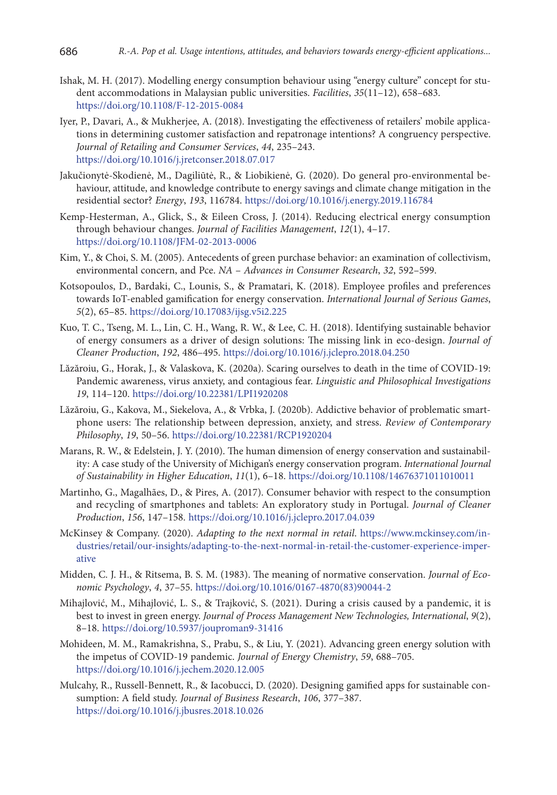- Ishak, M. H. (2017). Modelling energy consumption behaviour using "energy culture" concept for student accommodations in Malaysian public universities. *Facilities*, *35*(11–12), 658–683. https://doi.org/10.1108/F-12-2015-0084
- Iyer, P., Davari, A., & Mukherjee, A. (2018). Investigating the effectiveness of retailers' mobile applications in determining customer satisfaction and repatronage intentions? A congruency perspective. *Journal of Retailing and Consumer Services*, *44*, 235–243. https://doi.org/10.1016/j.jretconser.2018.07.017
- Jakučionytė-Skodienė, M., Dagiliūtė, R., & Liobikienė, G. (2020). Do general pro-environmental behaviour, attitude, and knowledge contribute to energy savings and climate change mitigation in the residential sector? *Energy*, *193*, 116784. https://doi.org/10.1016/j.energy.2019.116784
- Kemp-Hesterman, A., Glick, S., & Eileen Cross, J. (2014). Reducing electrical energy consumption through behaviour changes. *Journal of Facilities Management*, *12*(1), 4–17. https://doi.org/10.1108/JFM-02-2013-0006
- Kim, Y., & Choi, S. M. (2005). Antecedents of green purchase behavior: an examination of collectivism, environmental concern, and Pce. *NA* – *Advances in Consumer Research*, *32*, 592–599.
- Kotsopoulos, D., Bardaki, C., Lounis, S., & Pramatari, K. (2018). Employee profiles and preferences towards IoT-enabled gamification for energy conservation. *International Journal of Serious Games*, *5*(2), 65–85. https://doi.org/10.17083/ijsg.v5i2.225
- Kuo, T. C., Tseng, M. L., Lin, C. H., Wang, R. W., & Lee, C. H. (2018). Identifying sustainable behavior of energy consumers as a driver of design solutions: The missing link in eco-design. *Journal of Cleaner Production*, *192*, 486–495. https://doi.org/10.1016/j.jclepro.2018.04.250
- Lăzăroiu, G., Horak, J., & Valaskova, K. (2020a). Scaring ourselves to death in the time of COVID-19: Pandemic awareness, virus anxiety, and contagious fear. *Linguistic and Philosophical Investigations 19*, 114–120. https://doi.org/10.22381/LPI1920208
- Lăzăroiu, G., Kakova, M., Siekelova, A., & Vrbka, J. (2020b). Addictive behavior of problematic smartphone users: The relationship between depression, anxiety, and stress. *Review of Contemporary Philosophy*, *19*, 50–56. https://doi.org/10.22381/RCP1920204
- Marans, R. W., & Edelstein, J. Y. (2010). The human dimension of energy conservation and sustainability: A case study of the University of Michigan's energy conservation program. *International Journal of Sustainability in Higher Education*, *11*(1), 6–18. https://doi.org/10.1108/14676371011010011
- Martinho, G., Magalhães, D., & Pires, A. (2017). Consumer behavior with respect to the consumption and recycling of smartphones and tablets: An exploratory study in Portugal. *Journal of Cleaner Production*, *156*, 147–158. https://doi.org/10.1016/j.jclepro.2017.04.039
- McKinsey & Company. (2020). *Adapting to the next normal in retail*. https://www.mckinsey.com/industries/retail/our-insights/adapting-to-the-next-normal-in-retail-the-customer-experience-imperative
- Midden, C. J. H., & Ritsema, B. S. M. (1983). The meaning of normative conservation. *Journal of Economic Psychology*, *4*, 37–55. https://doi.org/10.1016/0167-4870(83)90044-2
- Mihajlović, M., Mihajlović, L. S., & Trajković, S. (2021). During a crisis caused by a pandemic, it is best to invest in green energy. *Journal of Process Management New Technologies, International*, *9*(2), 8–18. https://doi.org/10.5937/jouproman9-31416
- Mohideen, M. M., Ramakrishna, S., Prabu, S., & Liu, Y. (2021). Advancing green energy solution with the impetus of COVID-19 pandemic. *Journal of Energy Chemistry*, *59*, 688–705. https://doi.org/10.1016/j.jechem.2020.12.005
- Mulcahy, R., Russell-Bennett, R., & Iacobucci, D. (2020). Designing gamified apps for sustainable consumption: A field study. *Journal of Business Research*, *106*, 377–387. https://doi.org/10.1016/j.jbusres.2018.10.026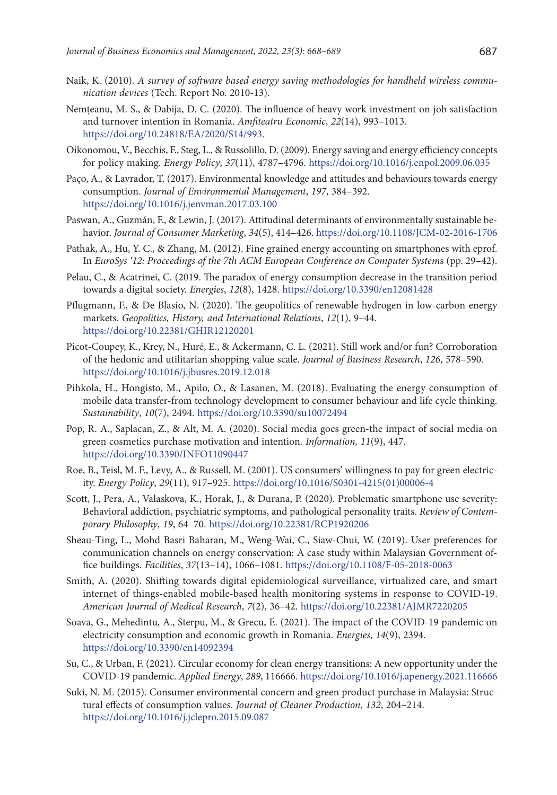- Naik, K. (2010). *A survey of software based energy saving methodologies for handheld wireless communication devices* (Tech. Report No. 2010-13).
- Nemțeanu, M. S., & Dabija, D. C. (2020). The influence of heavy work investment on job satisfaction and turnover intention in Romania. *Amfiteatru Economic*, *22*(14), 993–1013. https://doi.org/10.24818/EA/2020/S14/993.
- Oikonomou, V., Becchis, F., Steg, L., & Russolillo, D. (2009). Energy saving and energy efficiency concepts for policy making. *Energy Policy*, *37*(11), 4787–4796. https://doi.org/10.1016/j.enpol.2009.06.035
- Paço, A., & Lavrador, T. (2017). Environmental knowledge and attitudes and behaviours towards energy consumption. *Journal of Environmental Management*, *197*, 384–392. https://doi.org/10.1016/j.jenvman.2017.03.100
- Paswan, A., Guzmán, F., & Lewin, J. (2017). Attitudinal determinants of environmentally sustainable behavior. *Journal of Consumer Marketing*, *34*(5), 414–426. https://doi.org/10.1108/JCM-02-2016-1706
- Pathak, A., Hu, Y. C., & Zhang, M. (2012). Fine grained energy accounting on smartphones with eprof. In *EuroSys '12: Proceedings of the 7th ACM European Conference on Computer System*s (pp. 29–42).
- Pelau, C., & Acatrinei, C. (2019. The paradox of energy consumption decrease in the transition period towards a digital society. *Energies*, *12*(8), 1428. https://doi.org/10.3390/en12081428
- Pflugmann, F., & De Blasio, N. (2020). The geopolitics of renewable hydrogen in low-carbon energy markets. *Geopolitics, History, and International Relations*, *12*(1), 9–44. https://doi.org/10.22381/GHIR12120201
- Picot-Coupey, K., Krey, N., Huré, E., & Ackermann, C. L. (2021). Still work and/or fun? Corroboration of the hedonic and utilitarian shopping value scale. *Journal of Business Research*, *126*, 578–590. https://doi.org/10.1016/j.jbusres.2019.12.018
- Pihkola, H., Hongisto, M., Apilo, O., & Lasanen, M. (2018). Evaluating the energy consumption of mobile data transfer-from technology development to consumer behaviour and life cycle thinking. *Sustainability*, *10*(7), 2494. https://doi.org/10.3390/su10072494
- Pop, R. A., Saplacan, Z., & Alt, M. A. (2020). Social media goes green-the impact of social media on green cosmetics purchase motivation and intention. *Information, 11*(9), 447. https://doi.org/10.3390/INFO11090447
- Roe, B., Teisl, M. F., Levy, A., & Russell, M. (2001). US consumers' willingness to pay for green electricity. *Energy Policy*, *29*(11), 917–925. https://doi.org/10.1016/S0301-4215(01)00006-4
- Scott, J., Pera, A., Valaskova, K., Horak, J., & Durana, P. (2020). Problematic smartphone use severity: Behavioral addiction, psychiatric symptoms, and pathological personality traits. *Review of Contemporary Philosophy*, *19*, 64–70. https://doi.org/10.22381/RCP1920206
- Sheau-Ting, L., Mohd Basri Baharan, M., Weng-Wai, C., Siaw-Chui, W. (2019). User preferences for communication channels on energy conservation: A case study within Malaysian Government office buildings. *Facilities*, *37*(13–14), 1066–1081. https://doi.org/10.1108/F-05-2018-0063
- Smith, A. (2020). Shifting towards digital epidemiological surveillance, virtualized care, and smart internet of things-enabled mobile-based health monitoring systems in response to COVID-19. *American Journal of Medical Research*, *7*(2), 36–42. https://doi.org/10.22381/AJMR7220205
- Soava, G., Mehedintu, A., Sterpu, M., & Grecu, E. (2021). The impact of the COVID-19 pandemic on electricity consumption and economic growth in Romania. *Energies*, *14*(9), 2394. https://doi.org/10.3390/en14092394
- Su, C., & Urban, F. (2021). Circular economy for clean energy transitions: A new opportunity under the COVID-19 pandemic. *Applied Energy*, *289*, 116666. https://doi.org/10.1016/j.apenergy.2021.116666
- Suki, N. M. (2015). Consumer environmental concern and green product purchase in Malaysia: Structural effects of consumption values. *Journal of Cleaner Production*, *132*, 204–214. https://doi.org/10.1016/j.jclepro.2015.09.087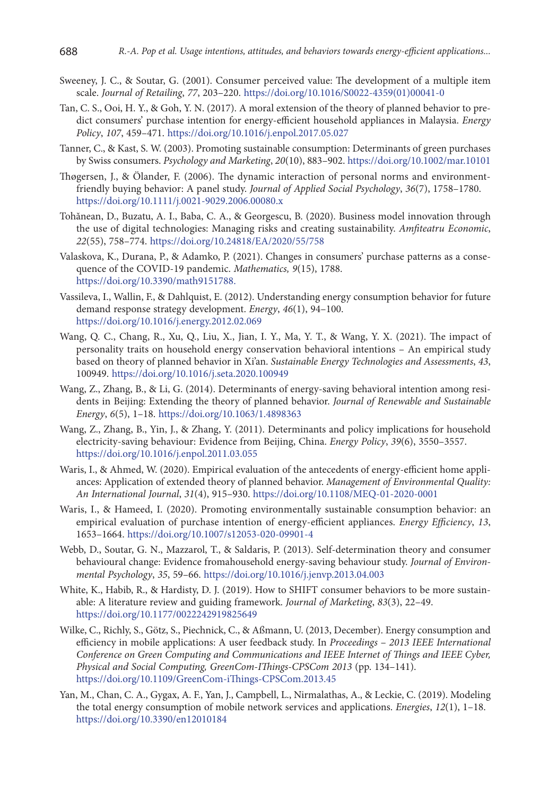- Sweeney, J. C., & Soutar, G. (2001). Consumer perceived value: The development of a multiple item scale. *Journal of Retailing*, *77*, 203–220. https://doi.org/10.1016/S0022-4359(01)00041-0
- Tan, C. S., Ooi, H. Y., & Goh, Y. N. (2017). A moral extension of the theory of planned behavior to predict consumers' purchase intention for energy-efficient household appliances in Malaysia. *Energy Policy*, *107*, 459–471. https://doi.org/10.1016/j.enpol.2017.05.027
- Tanner, C., & Kast, S. W. (2003). Promoting sustainable consumption: Determinants of green purchases by Swiss consumers. *Psychology and Marketing*, *20*(10), 883–902. https://doi.org/10.1002/mar.10101
- Thøgersen, J., & Ölander, F. (2006). The dynamic interaction of personal norms and environmentfriendly buying behavior: A panel study. *Journal of Applied Social Psychology*, *36*(7), 1758–1780. https://doi.org/10.1111/j.0021-9029.2006.00080.x
- Tohănean, D., Buzatu, A. I., Baba, C. A., & Georgescu, B. (2020). Business model innovation through the use of digital technologies: Managing risks and creating sustainability. *Amfiteatru Economic*, *22*(55), 758–774. https://doi.org/10.24818/EA/2020/55/758
- Valaskova, K., Durana, P., & Adamko, P. (2021). Changes in consumers' purchase patterns as a consequence of the COVID-19 pandemic. *Mathematics, 9*(15), 1788. https://doi.org/10.3390/math9151788.
- Vassileva, I., Wallin, F., & Dahlquist, E. (2012). Understanding energy consumption behavior for future demand response strategy development. *Energy*, *46*(1), 94–100. https://doi.org/10.1016/j.energy.2012.02.069
- Wang, Q. C., Chang, R., Xu, Q., Liu, X., Jian, I. Y., Ma, Y. T., & Wang, Y. X. (2021). The impact of personality traits on household energy conservation behavioral intentions – An empirical study based on theory of planned behavior in Xi'an. *Sustainable Energy Technologies and Assessments*, *43*, 100949. https://doi.org/10.1016/j.seta.2020.100949
- Wang, Z., Zhang, B., & Li, G. (2014). Determinants of energy-saving behavioral intention among residents in Beijing: Extending the theory of planned behavior. *Journal of Renewable and Sustainable Energy*, *6*(5), 1–18. https://doi.org/10.1063/1.4898363
- Wang, Z., Zhang, B., Yin, J., & Zhang, Y. (2011). Determinants and policy implications for household electricity-saving behaviour: Evidence from Beijing, China. *Energy Policy*, *39*(6), 3550–3557. https://doi.org/10.1016/j.enpol.2011.03.055
- Waris, I., & Ahmed, W. (2020). Empirical evaluation of the antecedents of energy-efficient home appliances: Application of extended theory of planned behavior. *Management of Environmental Quality: An International Journal*, *31*(4), 915–930. https://doi.org/10.1108/MEQ-01-2020-0001
- Waris, I., & Hameed, I. (2020). Promoting environmentally sustainable consumption behavior: an empirical evaluation of purchase intention of energy-efficient appliances. *Energy Efficiency*, *13*, 1653–1664. https://doi.org/10.1007/s12053-020-09901-4
- Webb, D., Soutar, G. N., Mazzarol, T., & Saldaris, P. (2013). Self-determination theory and consumer behavioural change: Evidence fromahousehold energy-saving behaviour study. *Journal of Environmental Psychology*, *35*, 59–66. https://doi.org/10.1016/j.jenvp.2013.04.003
- White, K., Habib, R., & Hardisty, D. J. (2019). How to SHIFT consumer behaviors to be more sustainable: A literature review and guiding framework. *Journal of Marketing*, *83*(3), 22–49. https://doi.org/10.1177/0022242919825649
- Wilke, C., Richly, S., Götz, S., Piechnick, C., & Aßmann, U. (2013, December). Energy consumption and efficiency in mobile applications: A user feedback study. In *Proceedings* – *2013 IEEE International Conference on Green Computing and Communications and IEEE Internet of Things and IEEE Cyber, Physical and Social Computing, GreenCom-IThings-CPSCom 2013* (pp. 134–141). https://doi.org/10.1109/GreenCom-iThings-CPSCom.2013.45
- Yan, M., Chan, C. A., Gygax, A. F., Yan, J., Campbell, L., Nirmalathas, A., & Leckie, C. (2019). Modeling the total energy consumption of mobile network services and applications. *Energies*, *12*(1), 1–18. https://doi.org/10.3390/en12010184